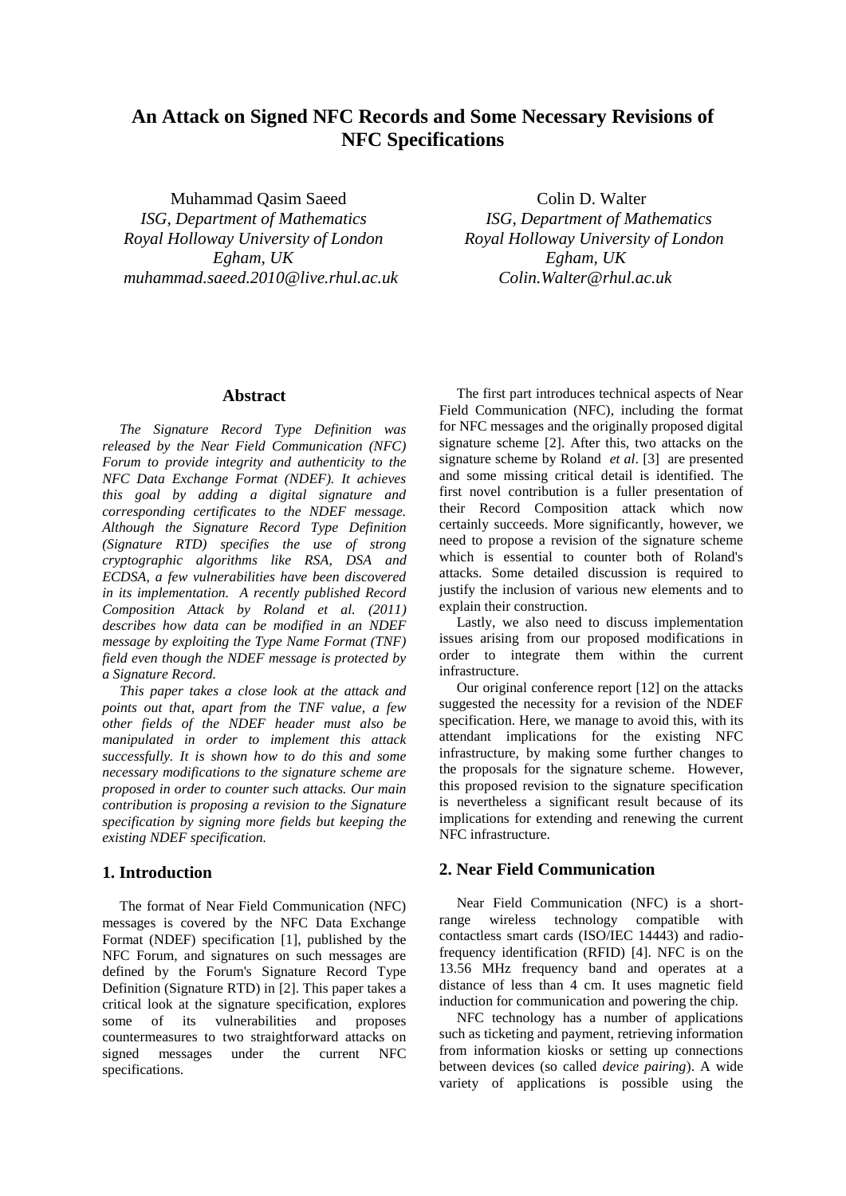# **An Attack on Signed NFC Records and Some Necessary Revisions of NFC Specifications**

Muhammad Oasim Saeed Colin D. Walter  *ISG, Department of Mathematics ISG, Department of Mathematics Royal Holloway University of London Royal Holloway University of London Egham, UK Egham, UK muhammad.saeed.2010@live.rhul.ac.uk Colin.Walter@rhul.ac.uk*

# **Abstract**

*The Signature Record Type Definition was released by the Near Field Communication (NFC) Forum to provide integrity and authenticity to the NFC Data Exchange Format (NDEF). It achieves this goal by adding a digital signature and corresponding certificates to the NDEF message. Although the Signature Record Type Definition (Signature RTD) specifies the use of strong cryptographic algorithms like RSA, DSA and ECDSA, a few vulnerabilities have been discovered in its implementation. A recently published Record Composition Attack by Roland et al. (2011) describes how data can be modified in an NDEF message by exploiting the Type Name Format (TNF) field even though the NDEF message is protected by a Signature Record.* 

*This paper takes a close look at the attack and points out that, apart from the TNF value, a few other fields of the NDEF header must also be manipulated in order to implement this attack successfully. It is shown how to do this and some necessary modifications to the signature scheme are proposed in order to counter such attacks. Our main contribution is proposing a revision to the Signature specification by signing more fields but keeping the existing NDEF specification.* 

### **1. Introduction**

The format of Near Field Communication (NFC) messages is covered by the NFC Data Exchange Format (NDEF) specification [1], published by the NFC Forum, and signatures on such messages are defined by the Forum's Signature Record Type Definition (Signature RTD) in [2]. This paper takes a critical look at the signature specification, explores some of its vulnerabilities and proposes countermeasures to two straightforward attacks on signed messages under the current NFC specifications.

The first part introduces technical aspects of Near Field Communication (NFC), including the format for NFC messages and the originally proposed digital signature scheme [2]. After this, two attacks on the signature scheme by Roland *et al*. [3] are presented and some missing critical detail is identified. The first novel contribution is a fuller presentation of their Record Composition attack which now certainly succeeds. More significantly, however, we need to propose a revision of the signature scheme which is essential to counter both of Roland's attacks. Some detailed discussion is required to justify the inclusion of various new elements and to explain their construction.

Lastly, we also need to discuss implementation issues arising from our proposed modifications in order to integrate them within the current infrastructure.

Our original conference report [12] on the attacks suggested the necessity for a revision of the NDEF specification. Here, we manage to avoid this, with its attendant implications for the existing NFC infrastructure, by making some further changes to the proposals for the signature scheme. However, this proposed revision to the signature specification is nevertheless a significant result because of its implications for extending and renewing the current NFC infrastructure.

# **2. Near Field Communication**

Near Field Communication (NFC) is a shortrange wireless technology compatible with contactless smart cards (ISO/IEC 14443) and radiofrequency identification (RFID) [4]. NFC is on the 13.56 MHz frequency band and operates at a distance of less than 4 cm. It uses magnetic field induction for communication and powering the chip.

NFC technology has a number of applications such as ticketing and payment, retrieving information from information kiosks or setting up connections between devices (so called *device pairing*). A wide variety of applications is possible using the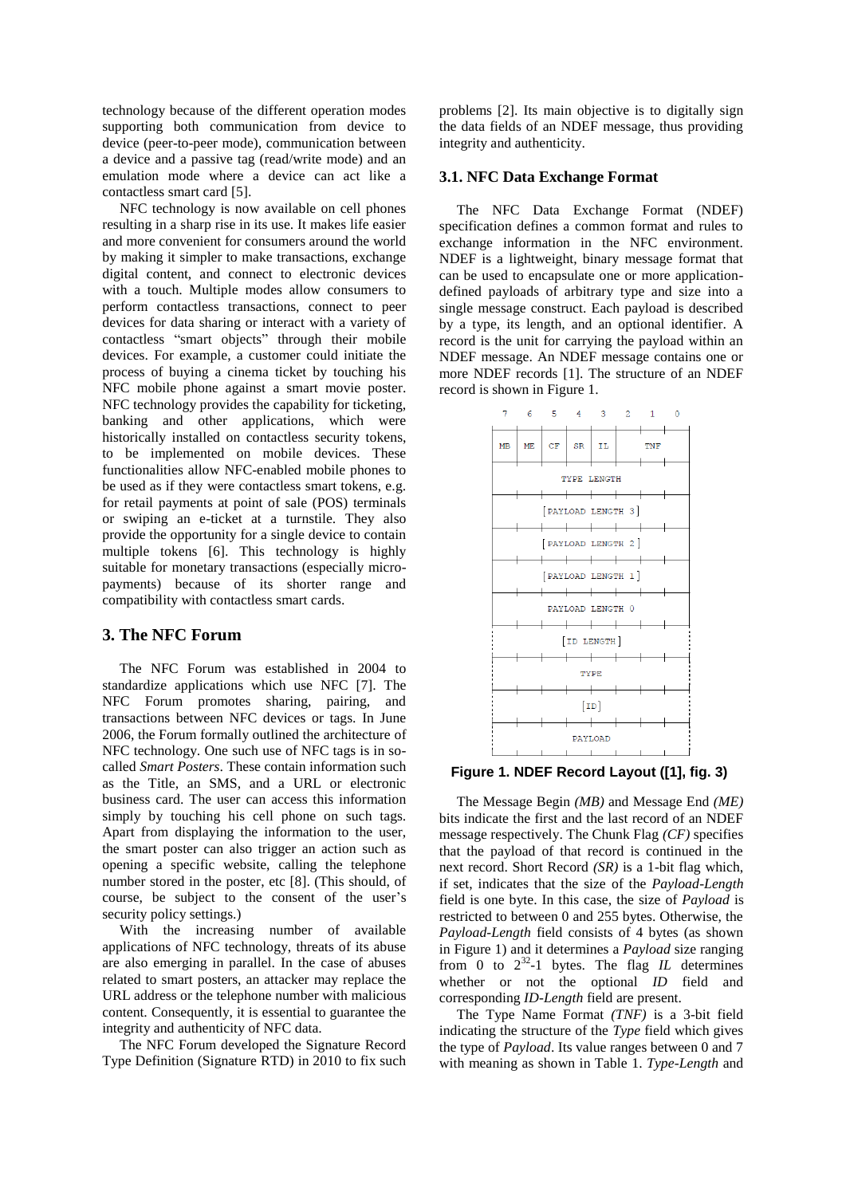technology because of the different operation modes supporting both communication from device to device (peer-to-peer mode), communication between a device and a passive tag (read/write mode) and an emulation mode where a device can act like a contactless smart card [5].

NFC technology is now available on cell phones resulting in a sharp rise in its use. It makes life easier and more convenient for consumers around the world by making it simpler to make transactions, exchange digital content, and connect to electronic devices with a touch. Multiple modes allow consumers to perform contactless transactions, connect to peer devices for data sharing or interact with a variety of contactless "smart objects" through their mobile devices. For example, a customer could initiate the process of buying a cinema ticket by touching his NFC mobile phone against a smart movie poster. NFC technology provides the capability for ticketing, banking and other applications, which were historically installed on contactless security tokens, to be implemented on mobile devices. These functionalities allow NFC-enabled mobile phones to be used as if they were contactless smart tokens, e.g. for retail payments at point of sale (POS) terminals or swiping an e-ticket at a turnstile. They also provide the opportunity for a single device to contain multiple tokens [6]. This technology is highly suitable for monetary transactions (especially micropayments) because of its shorter range and compatibility with contactless smart cards.

# **3. The NFC Forum**

The NFC Forum was established in 2004 to standardize applications which use NFC [7]. The NFC Forum promotes sharing, pairing, and transactions between NFC devices or tags. In June 2006, the Forum formally outlined the architecture of NFC technology. One such use of NFC tags is in socalled *Smart Posters*. These contain information such as the Title, an SMS, and a URL or electronic business card. The user can access this information simply by touching his cell phone on such tags. Apart from displaying the information to the user, the smart poster can also trigger an action such as opening a specific website, calling the telephone number stored in the poster, etc [8]. (This should, of course, be subject to the consent of the user's security policy settings.)

With the increasing number of available applications of NFC technology, threats of its abuse are also emerging in parallel. In the case of abuses related to smart posters, an attacker may replace the URL address or the telephone number with malicious content. Consequently, it is essential to guarantee the integrity and authenticity of NFC data.

The NFC Forum developed the Signature Record Type Definition (Signature RTD) in 2010 to fix such

problems [2]. Its main objective is to digitally sign the data fields of an NDEF message, thus providing integrity and authenticity.

#### **3.1. NFC Data Exchange Format**

The NFC Data Exchange Format (NDEF) specification defines a common format and rules to exchange information in the NFC environment. NDEF is a lightweight, binary message format that can be used to encapsulate one or more applicationdefined payloads of arbitrary type and size into a single message construct. Each payload is described by a type, its length, and an optional identifier. A record is the unit for carrying the payload within an NDEF message. An NDEF message contains one or more NDEF records [1]. The structure of an NDEF record is shown in Figure 1.



**Figure 1. NDEF Record Layout ([1], fig. 3)**

The Message Begin *(MB)* and Message End *(ME)* bits indicate the first and the last record of an NDEF message respectively. The Chunk Flag *(CF)* specifies that the payload of that record is continued in the next record. Short Record *(SR)* is a 1-bit flag which, if set, indicates that the size of the *Payload-Length* field is one byte. In this case, the size of *Payload* is restricted to between 0 and 255 bytes. Otherwise, the *Payload-Length* field consists of 4 bytes (as shown in Figure 1) and it determines a *Payload* size ranging from 0 to  $2^{32}$ -1 bytes. The flag *IL* determines whether or not the optional *ID* field and corresponding *ID-Length* field are present.

The Type Name Format *(TNF)* is a 3-bit field indicating the structure of the *Type* field which gives the type of *Payload*. Its value ranges between 0 and 7 with meaning as shown in Table 1. *Type-Length* and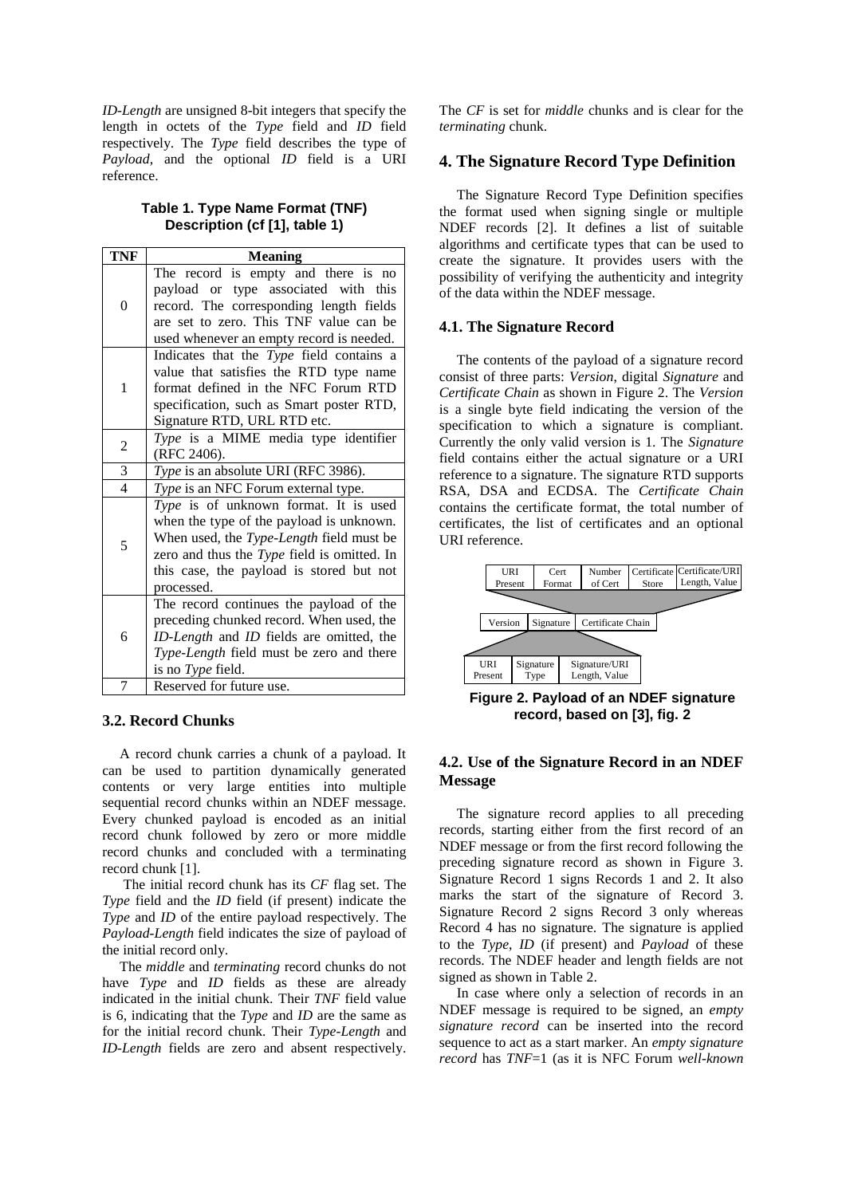*ID-Length* are unsigned 8-bit integers that specify the length in octets of the *Type* field and *ID* field respectively. The *Type* field describes the type of *Payload*, and the optional *ID* field is a URI reference.

# **Table 1. Type Name Format (TNF) Description (cf [1], table 1)**

| <b>TNF</b>     | <b>Meaning</b>                                                                                                                                                                                                                         |  |  |
|----------------|----------------------------------------------------------------------------------------------------------------------------------------------------------------------------------------------------------------------------------------|--|--|
| $\Omega$       | The record is empty and there is no<br>payload or type associated with this<br>record. The corresponding length fields<br>are set to zero. This TNF value can be<br>used whenever an empty record is needed.                           |  |  |
| 1              | Indicates that the Type field contains a<br>value that satisfies the RTD type name<br>format defined in the NFC Forum RTD<br>specification, such as Smart poster RTD,<br>Signature RTD, URL RTD etc.                                   |  |  |
| $\overline{c}$ | Type is a MIME media type identifier<br>(RFC 2406).                                                                                                                                                                                    |  |  |
| $\overline{3}$ | Type is an absolute URI (RFC 3986).                                                                                                                                                                                                    |  |  |
| $\overline{4}$ | Type is an NFC Forum external type.                                                                                                                                                                                                    |  |  |
| 5              | Type is of unknown format. It is used<br>when the type of the payload is unknown.<br>When used, the Type-Length field must be<br>zero and thus the Type field is omitted. In<br>this case, the payload is stored but not<br>processed. |  |  |
| 6              | The record continues the payload of the<br>preceding chunked record. When used, the<br>ID-Length and ID fields are omitted, the<br>Type-Length field must be zero and there<br>is no Type field.                                       |  |  |
| 7              | Reserved for future use.                                                                                                                                                                                                               |  |  |

### **3.2. Record Chunks**

A record chunk carries a chunk of a payload. It can be used to partition dynamically generated contents or very large entities into multiple sequential record chunks within an NDEF message. Every chunked payload is encoded as an initial record chunk followed by zero or more middle record chunks and concluded with a terminating record chunk [1].

The initial record chunk has its *CF* flag set. The *Type* field and the *ID* field (if present) indicate the *Type* and *ID* of the entire payload respectively. The *Payload-Length* field indicates the size of payload of the initial record only.

The *middle* and *terminating* record chunks do not have *Type* and *ID* fields as these are already indicated in the initial chunk. Their *TNF* field value is 6, indicating that the *Type* and *ID* are the same as for the initial record chunk. Their *Type-Length* and *ID-Length* fields are zero and absent respectively.

The *CF* is set for *middle* chunks and is clear for the *terminating* chunk.

# **4. The Signature Record Type Definition**

The Signature Record Type Definition specifies the format used when signing single or multiple NDEF records [2]. It defines a list of suitable algorithms and certificate types that can be used to create the signature. It provides users with the possibility of verifying the authenticity and integrity of the data within the NDEF message.

#### **4.1. The Signature Record**

The contents of the payload of a signature record consist of three parts: *Version*, digital *Signature* and *Certificate Chain* as shown in Figure 2. The *Version* is a single byte field indicating the version of the specification to which a signature is compliant. Currently the only valid version is 1. The *Signature* field contains either the actual signature or a URI reference to a signature. The signature RTD supports RSA, DSA and ECDSA. The *Certificate Chain* contains the certificate format, the total number of certificates, the list of certificates and an optional URI reference.



**Figure 2. Payload of an NDEF signature record, based on [3], fig. 2**

# **4.2. Use of the Signature Record in an NDEF Message**

The signature record applies to all preceding records, starting either from the first record of an NDEF message or from the first record following the preceding signature record as shown in Figure 3. Signature Record 1 signs Records 1 and 2. It also marks the start of the signature of Record 3. Signature Record 2 signs Record 3 only whereas Record 4 has no signature. The signature is applied to the *Type*, *ID* (if present) and *Payload* of these records. The NDEF header and length fields are not signed as shown in Table 2.

In case where only a selection of records in an NDEF message is required to be signed, an *empty signature record* can be inserted into the record sequence to act as a start marker. An *empty signature record* has *TNF*=1 (as it is NFC Forum *well-known*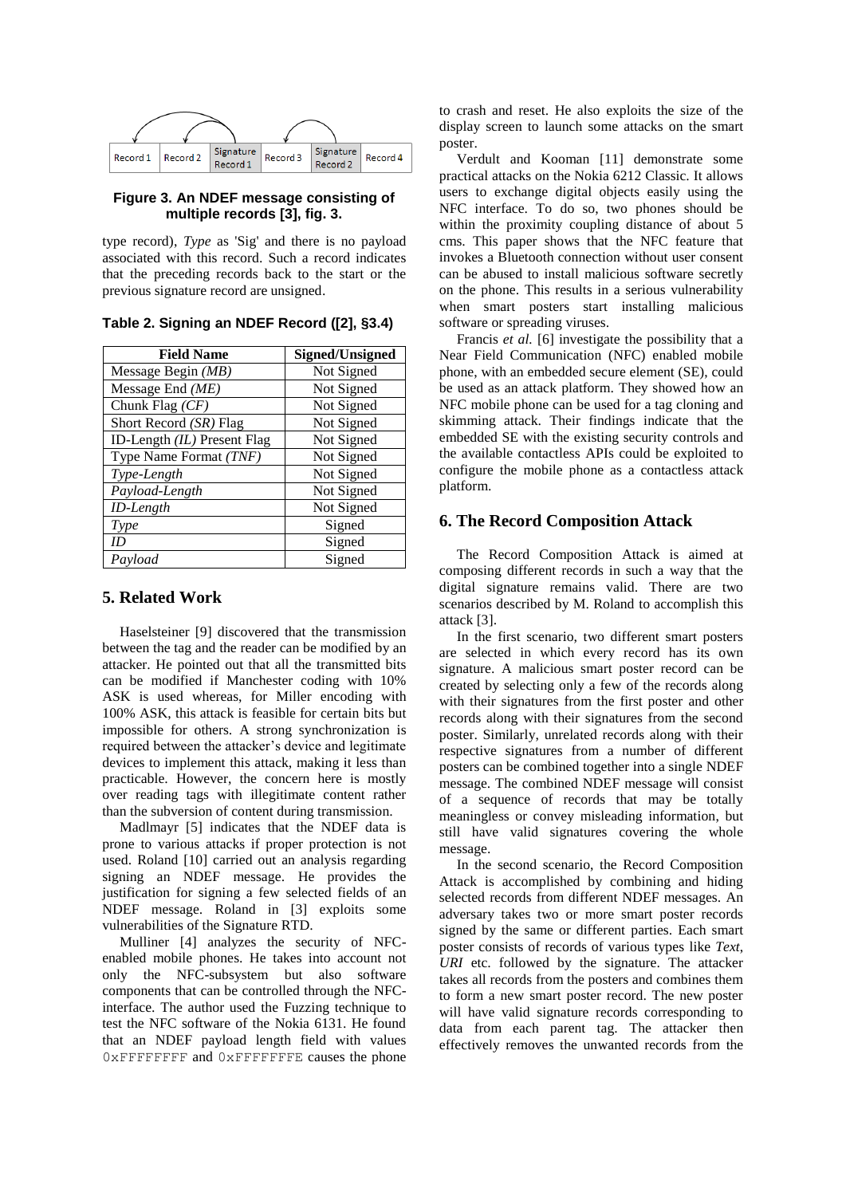

# **Figure 3. An NDEF message consisting of multiple records [3], fig. 3.**

type record), *Type* as 'Sig' and there is no payload associated with this record. Such a record indicates that the preceding records back to the start or the previous signature record are unsigned.

| <b>Field Name</b>           | <b>Signed/Unsigned</b> |
|-----------------------------|------------------------|
| Message Begin $(MB)$        | Not Signed             |
| Message End $(ME)$          | Not Signed             |
| Chunk Flag $(CF)$           | Not Signed             |
| Short Record (SR) Flag      | Not Signed             |
| ID-Length (IL) Present Flag | Not Signed             |
| Type Name Format (TNF)      | Not Signed             |
| Type-Length                 | Not Signed             |
| Payload-Length              | Not Signed             |
| ID-Length                   | Not Signed             |
| <b>Type</b>                 | Signed                 |
| ID                          | Signed                 |
| Payload                     | Signed                 |

**Table 2. Signing an NDEF Record ([2], §3.4)**

# **5. Related Work**

Haselsteiner [9] discovered that the transmission between the tag and the reader can be modified by an attacker. He pointed out that all the transmitted bits can be modified if Manchester coding with 10% ASK is used whereas, for Miller encoding with 100% ASK, this attack is feasible for certain bits but impossible for others. A strong synchronization is required between the attacker's device and legitimate devices to implement this attack, making it less than practicable. However, the concern here is mostly over reading tags with illegitimate content rather than the subversion of content during transmission.

Madlmayr [5] indicates that the NDEF data is prone to various attacks if proper protection is not used. Roland [10] carried out an analysis regarding signing an NDEF message. He provides the justification for signing a few selected fields of an NDEF message. Roland in [3] exploits some vulnerabilities of the Signature RTD.

Mulliner [4] analyzes the security of NFCenabled mobile phones. He takes into account not only the NFC-subsystem but also software components that can be controlled through the NFCinterface. The author used the Fuzzing technique to test the NFC software of the Nokia 6131. He found that an NDEF payload length field with values 0xFFFFFFFF and 0xFFFFFFFE causes the phone

to crash and reset. He also exploits the size of the display screen to launch some attacks on the smart poster.

Verdult and Kooman [11] demonstrate some practical attacks on the Nokia 6212 Classic. It allows users to exchange digital objects easily using the NFC interface. To do so, two phones should be within the proximity coupling distance of about 5 cms. This paper shows that the NFC feature that invokes a Bluetooth connection without user consent can be abused to install malicious software secretly on the phone. This results in a serious vulnerability when smart posters start installing malicious software or spreading viruses.

Francis *et al.* [6] investigate the possibility that a Near Field Communication (NFC) enabled mobile phone, with an embedded secure element (SE), could be used as an attack platform. They showed how an NFC mobile phone can be used for a tag cloning and skimming attack. Their findings indicate that the embedded SE with the existing security controls and the available contactless APIs could be exploited to configure the mobile phone as a contactless attack platform.

# **6. The Record Composition Attack**

The Record Composition Attack is aimed at composing different records in such a way that the digital signature remains valid. There are two scenarios described by M. Roland to accomplish this attack [3].

In the first scenario, two different smart posters are selected in which every record has its own signature. A malicious smart poster record can be created by selecting only a few of the records along with their signatures from the first poster and other records along with their signatures from the second poster. Similarly, unrelated records along with their respective signatures from a number of different posters can be combined together into a single NDEF message. The combined NDEF message will consist of a sequence of records that may be totally meaningless or convey misleading information, but still have valid signatures covering the whole message.

In the second scenario, the Record Composition Attack is accomplished by combining and hiding selected records from different NDEF messages. An adversary takes two or more smart poster records signed by the same or different parties. Each smart poster consists of records of various types like *Text*, *URI* etc. followed by the signature. The attacker takes all records from the posters and combines them to form a new smart poster record. The new poster will have valid signature records corresponding to data from each parent tag. The attacker then effectively removes the unwanted records from the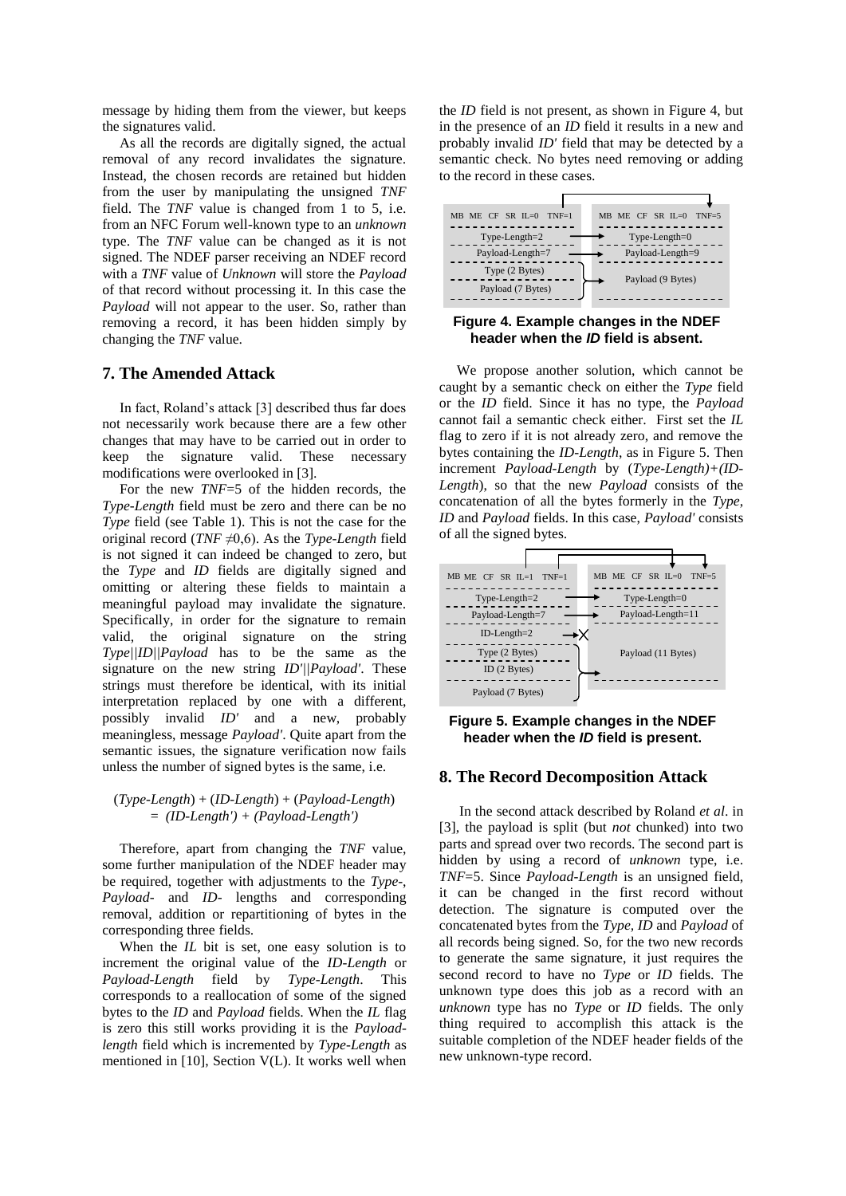message by hiding them from the viewer, but keeps the signatures valid.

As all the records are digitally signed, the actual removal of any record invalidates the signature. Instead, the chosen records are retained but hidden from the user by manipulating the unsigned *TNF* field. The *TNF* value is changed from 1 to 5, i.e. from an NFC Forum well-known type to an *unknown* type. The *TNF* value can be changed as it is not signed. The NDEF parser receiving an NDEF record with a *TNF* value of *Unknown* will store the *Payload* of that record without processing it. In this case the *Payload* will not appear to the user. So, rather than removing a record, it has been hidden simply by changing the *TNF* value.

### **7. The Amended Attack**

In fact, Roland's attack [3] described thus far does not necessarily work because there are a few other changes that may have to be carried out in order to keep the signature valid. These necessary modifications were overlooked in [3].

For the new *TNF*=5 of the hidden records, the *Type-Length* field must be zero and there can be no *Type* field (see Table 1). This is not the case for the original record (*TNF* ≠0,6). As the *Type-Length* field is not signed it can indeed be changed to zero, but the *Type* and *ID* fields are digitally signed and omitting or altering these fields to maintain a meaningful payload may invalidate the signature. Specifically, in order for the signature to remain valid, the original signature on the string *Type||ID||Payload* has to be the same as the signature on the new string *ID'||Payload'*. These strings must therefore be identical, with its initial interpretation replaced by one with a different, possibly invalid *ID'* and a new, probably meaningless, message *Payload'*. Quite apart from the semantic issues, the signature verification now fails unless the number of signed bytes is the same, i.e.

#### (*Type-Length*) + (*ID-Length*) + (*Payload-Length*) = *(ID-Length') + (Payload-Length')*

Therefore, apart from changing the *TNF* value, some further manipulation of the NDEF header may be required, together with adjustments to the *Type*-, *Payload*- and *ID*- lengths and corresponding removal, addition or repartitioning of bytes in the corresponding three fields.

When the *IL* bit is set, one easy solution is to increment the original value of the *ID-Length* or *Payload-Length* field by *Type-Length*. This corresponds to a reallocation of some of the signed bytes to the *ID* and *Payload* fields. When the *IL* flag is zero this still works providing it is the *Payloadlength* field which is incremented by *Type-Length* as mentioned in [10], Section V(L). It works well when

the *ID* field is not present, as shown in Figure 4, but in the presence of an *ID* field it results in a new and probably invalid *ID'* field that may be detected by a semantic check. No bytes need removing or adding to the record in these cases.



**Figure 4. Example changes in the NDEF header when the** *ID* **field is absent.**

We propose another solution, which cannot be caught by a semantic check on either the *Type* field or the *ID* field. Since it has no type, the *Payload* cannot fail a semantic check either. First set the *IL* flag to zero if it is not already zero, and remove the bytes containing the *ID-Length*, as in Figure 5. Then increment *Payload-Length* by (*Type-Length)+(ID-Length*), so that the new *Payload* consists of the concatenation of all the bytes formerly in the *Type*, *ID* and *Payload* fields. In this case, *Payload'* consists of all the signed bytes.





### **8. The Record Decomposition Attack**

In the second attack described by Roland *et al*. in [3], the payload is split (but *not* chunked) into two parts and spread over two records. The second part is hidden by using a record of *unknown* type, i.e. *TNF*=5. Since *Payload-Length* is an unsigned field, it can be changed in the first record without detection. The signature is computed over the concatenated bytes from the *Type, ID* and *Payload* of all records being signed. So, for the two new records to generate the same signature, it just requires the second record to have no *Type* or *ID* fields. The unknown type does this job as a record with an *unknown* type has no *Type* or *ID* fields. The only thing required to accomplish this attack is the suitable completion of the NDEF header fields of the new unknown-type record.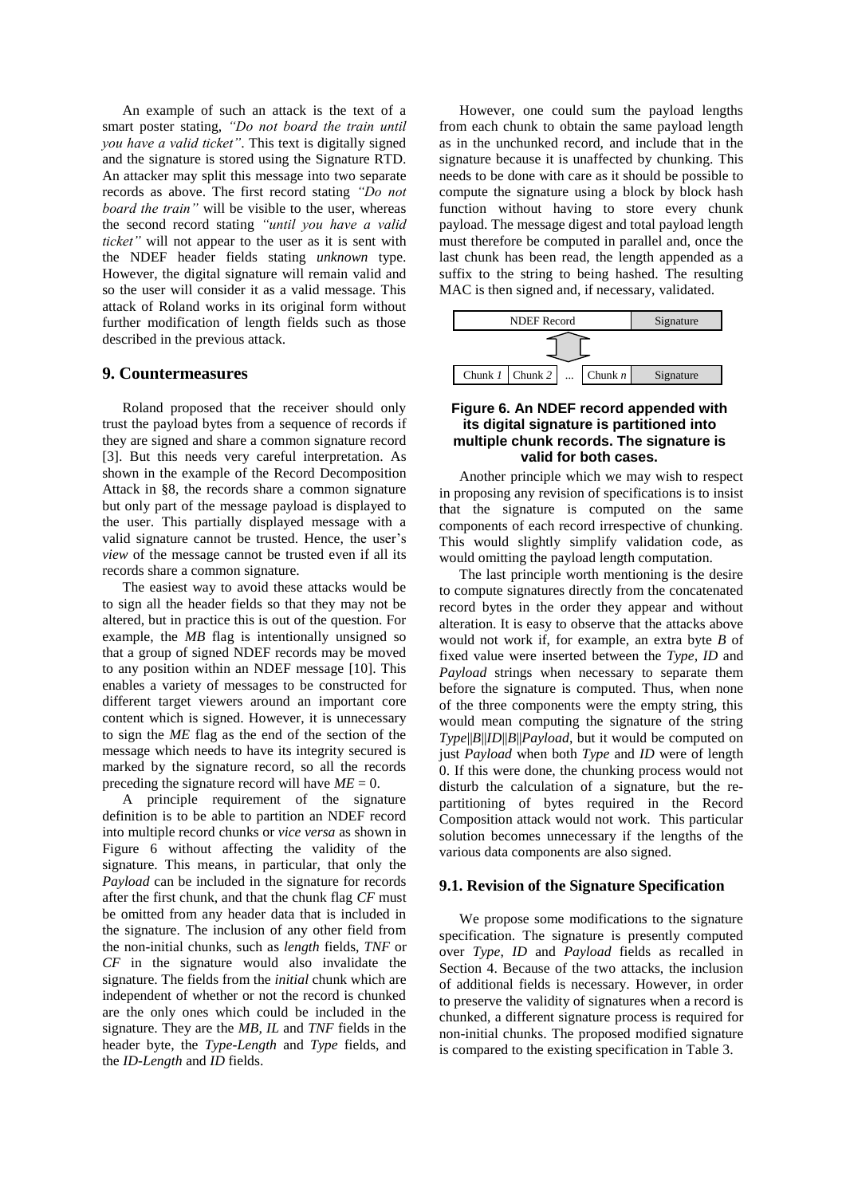An example of such an attack is the text of a smart poster stating, *"Do not board the train until you have a valid ticket"*. This text is digitally signed and the signature is stored using the Signature RTD. An attacker may split this message into two separate records as above. The first record stating *"Do not board the train"* will be visible to the user, whereas the second record stating *"until you have a valid ticket"* will not appear to the user as it is sent with the NDEF header fields stating *unknown* type. However, the digital signature will remain valid and so the user will consider it as a valid message. This attack of Roland works in its original form without further modification of length fields such as those described in the previous attack.

#### **9. Countermeasures**

Roland proposed that the receiver should only trust the payload bytes from a sequence of records if they are signed and share a common signature record [3]. But this needs very careful interpretation. As shown in the example of the Record Decomposition Attack in §8, the records share a common signature but only part of the message payload is displayed to the user. This partially displayed message with a valid signature cannot be trusted. Hence, the user's *view* of the message cannot be trusted even if all its records share a common signature.

The easiest way to avoid these attacks would be to sign all the header fields so that they may not be altered, but in practice this is out of the question. For example, the *MB* flag is intentionally unsigned so that a group of signed NDEF records may be moved to any position within an NDEF message [10]. This enables a variety of messages to be constructed for different target viewers around an important core content which is signed. However, it is unnecessary to sign the *ME* flag as the end of the section of the message which needs to have its integrity secured is marked by the signature record, so all the records preceding the signature record will have  $ME = 0$ .

A principle requirement of the signature definition is to be able to partition an NDEF record into multiple record chunks or *vice versa* as shown in Figure 6 without affecting the validity of the signature. This means, in particular, that only the *Payload* can be included in the signature for records after the first chunk, and that the chunk flag *CF* must be omitted from any header data that is included in the signature. The inclusion of any other field from the non-initial chunks, such as *length* fields, *TNF* or *CF* in the signature would also invalidate the signature. The fields from the *initial* chunk which are independent of whether or not the record is chunked are the only ones which could be included in the signature. They are the *MB, IL* and *TNF* fields in the header byte, the *Type-Length* and *Type* fields, and the *ID-Length* and *ID* fields.

However, one could sum the payload lengths from each chunk to obtain the same payload length as in the unchunked record, and include that in the signature because it is unaffected by chunking. This needs to be done with care as it should be possible to compute the signature using a block by block hash function without having to store every chunk payload. The message digest and total payload length must therefore be computed in parallel and, once the last chunk has been read, the length appended as a suffix to the string to being hashed. The resulting MAC is then signed and, if necessary, validated.



#### **Figure 6. An NDEF record appended with its digital signature is partitioned into multiple chunk records. The signature is valid for both cases.**

Another principle which we may wish to respect in proposing any revision of specifications is to insist that the signature is computed on the same components of each record irrespective of chunking. This would slightly simplify validation code, as would omitting the payload length computation.

The last principle worth mentioning is the desire to compute signatures directly from the concatenated record bytes in the order they appear and without alteration. It is easy to observe that the attacks above would not work if, for example, an extra byte *B* of fixed value were inserted between the *Type, ID* and *Payload* strings when necessary to separate them before the signature is computed. Thus, when none of the three components were the empty string, this would mean computing the signature of the string *Type*||*B*||*ID*||*B*||*Payload*, but it would be computed on just *Payload* when both *Type* and *ID* were of length 0. If this were done, the chunking process would not disturb the calculation of a signature, but the repartitioning of bytes required in the Record Composition attack would not work. This particular solution becomes unnecessary if the lengths of the various data components are also signed.

### **9.1. Revision of the Signature Specification**

We propose some modifications to the signature specification. The signature is presently computed over *Type*, *ID* and *Payload* fields as recalled in Section 4. Because of the two attacks, the inclusion of additional fields is necessary. However, in order to preserve the validity of signatures when a record is chunked, a different signature process is required for non-initial chunks. The proposed modified signature is compared to the existing specification in Table 3.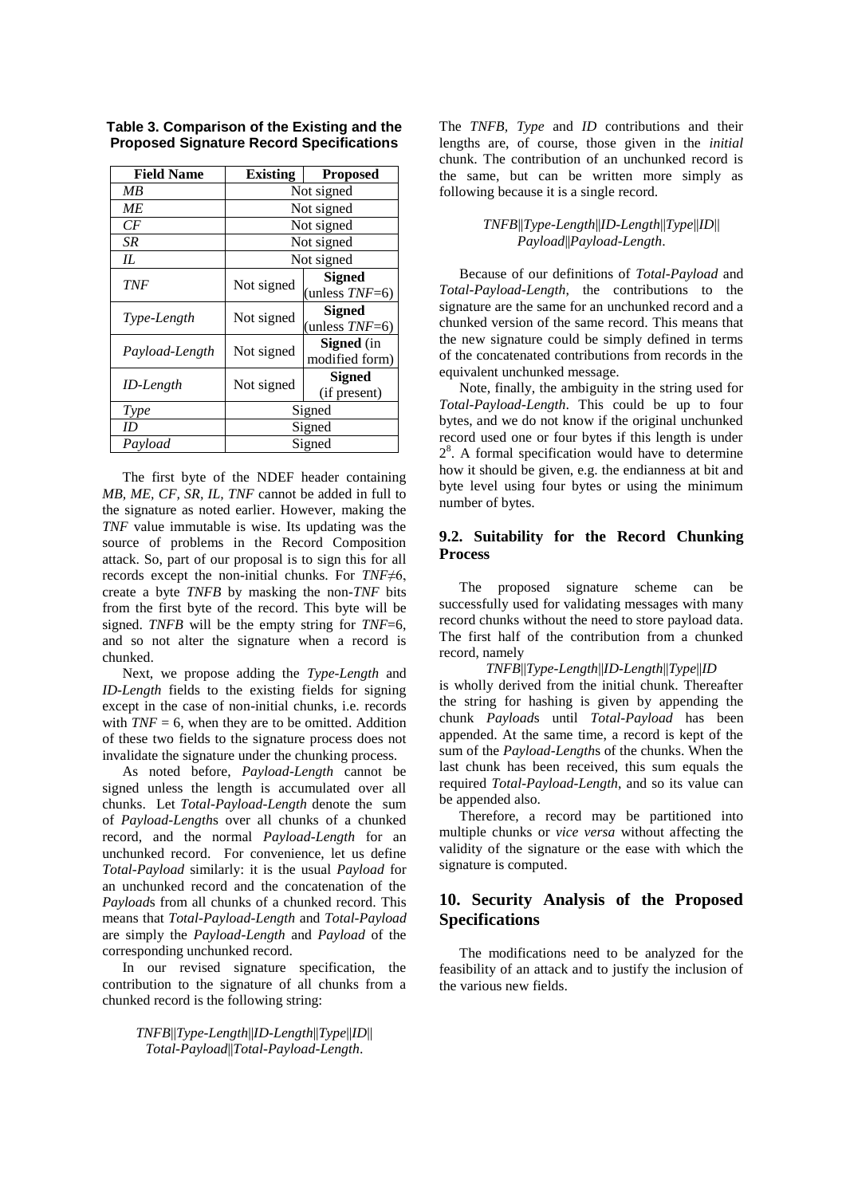| <b>Field Name</b> | <b>Existing</b> | <b>Proposed</b>   |  |
|-------------------|-----------------|-------------------|--|
| МB                | Not signed      |                   |  |
| МE                | Not signed      |                   |  |
| СF                | Not signed      |                   |  |
| SR                | Not signed      |                   |  |
| IL.               | Not signed      |                   |  |
| TNF               |                 | <b>Signed</b>     |  |
|                   | Not signed      | (unless $TNF=6$ ) |  |
| Type-Length       | Not signed      | Signed            |  |
|                   |                 | (unless $TNF=6$ ) |  |
| Payload-Length    | Not signed      | <b>Signed</b> (in |  |
|                   |                 | modified form)    |  |
|                   | Not signed      | Signed            |  |
| ID-Length         |                 | (if present)      |  |
| <b>Type</b>       | Signed          |                   |  |
| ID                | Signed          |                   |  |
| Payload           | Signed          |                   |  |

**Table 3. Comparison of the Existing and the Proposed Signature Record Specifications**

The first byte of the NDEF header containing *MB, ME, CF, SR, IL, TNF* cannot be added in full to the signature as noted earlier. However, making the *TNF* value immutable is wise. Its updating was the source of problems in the Record Composition attack. So, part of our proposal is to sign this for all records except the non-initial chunks. For *TNF*≠6, create a byte *TNFB* by masking the non-*TNF* bits from the first byte of the record. This byte will be signed. *TNFB* will be the empty string for *TNF*=6, and so not alter the signature when a record is chunked.

Next, we propose adding the *Type-Length* and *ID-Length* fields to the existing fields for signing except in the case of non-initial chunks, i.e. records with  $TNF = 6$ , when they are to be omitted. Addition of these two fields to the signature process does not invalidate the signature under the chunking process.

As noted before, *Payload-Length* cannot be signed unless the length is accumulated over all chunks. Let *Total-Payload-Length* denote the sum of *Payload-Length*s over all chunks of a chunked record, and the normal *Payload-Length* for an unchunked record. For convenience, let us define *Total-Payload* similarly: it is the usual *Payload* for an unchunked record and the concatenation of the *Payload*s from all chunks of a chunked record. This means that *Total-Payload-Length* and *Total-Payload*  are simply the *Payload-Length* and *Payload* of the corresponding unchunked record.

In our revised signature specification, the contribution to the signature of all chunks from a chunked record is the following string:

> *TNFB*||*Type-Length*||*ID-Length*||*Type*||*ID*|| *Total-Payload*||*Total-Payload-Length*.

The *TNFB, Type* and *ID* contributions and their lengths are, of course, those given in the *initial* chunk. The contribution of an unchunked record is the same, but can be written more simply as following because it is a single record.

# *TNFB*||*Type-Length*||*ID-Length*||*Type*||*ID*|| *Payload*||*Payload-Length*.

Because of our definitions of *Total-Payload* and *Total-Payload-Length*, the contributions to the signature are the same for an unchunked record and a chunked version of the same record. This means that the new signature could be simply defined in terms of the concatenated contributions from records in the equivalent unchunked message.

Note, finally, the ambiguity in the string used for *Total-Payload-Length*. This could be up to four bytes, and we do not know if the original unchunked record used one or four bytes if this length is under 2 8 . A formal specification would have to determine how it should be given, e.g. the endianness at bit and byte level using four bytes or using the minimum number of bytes.

# **9.2. Suitability for the Record Chunking Process**

The proposed signature scheme can be successfully used for validating messages with many record chunks without the need to store payload data. The first half of the contribution from a chunked record, namely

#### *TNFB*||*Type-Length*||*ID-Length*||*Type*||*ID*

is wholly derived from the initial chunk. Thereafter the string for hashing is given by appending the chunk *Payload*s until *Total-Payload* has been appended. At the same time, a record is kept of the sum of the *Payload-Length*s of the chunks. When the last chunk has been received, this sum equals the required *Total-Payload-Length*, and so its value can be appended also.

Therefore, a record may be partitioned into multiple chunks or *vice versa* without affecting the validity of the signature or the ease with which the signature is computed.

# **10. Security Analysis of the Proposed Specifications**

The modifications need to be analyzed for the feasibility of an attack and to justify the inclusion of the various new fields.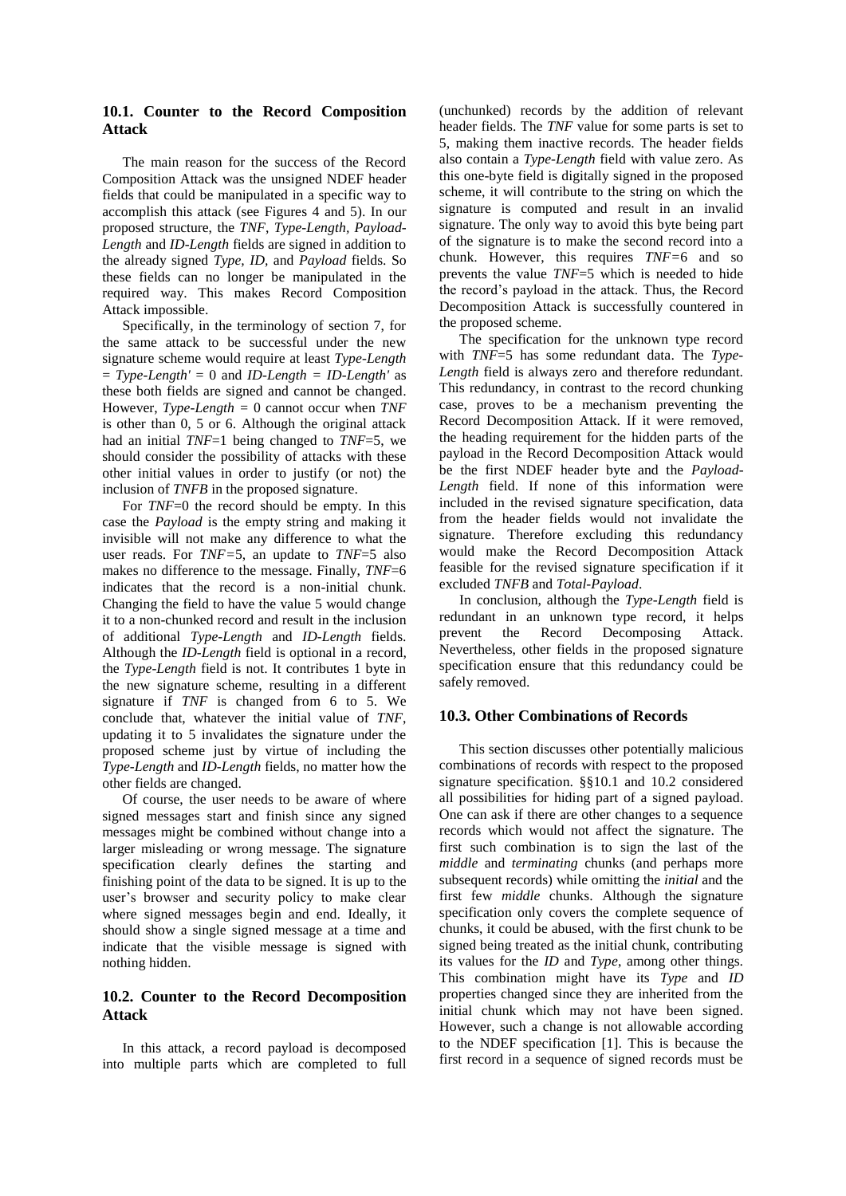# **10.1. Counter to the Record Composition Attack**

The main reason for the success of the Record Composition Attack was the unsigned NDEF header fields that could be manipulated in a specific way to accomplish this attack (see Figures 4 and 5). In our proposed structure, the *TNF*, *Type-Length, Payload-Length* and *ID-Length* fields are signed in addition to the already signed *Type, ID,* and *Payload* fields. So these fields can no longer be manipulated in the required way. This makes Record Composition Attack impossible.

Specifically, in the terminology of section 7, for the same attack to be successful under the new signature scheme would require at least *Type-Length*  = *Type-Length'* = 0 and *ID-Length = ID-Length'* as these both fields are signed and cannot be changed. However, *Type-Length =* 0 cannot occur when *TNF* is other than 0, 5 or 6. Although the original attack had an initial *TNF*=1 being changed to *TNF*=5, we should consider the possibility of attacks with these other initial values in order to justify (or not) the inclusion of *TNFB* in the proposed signature.

For *TNF*=0 the record should be empty. In this case the *Payload* is the empty string and making it invisible will not make any difference to what the user reads. For *TNF=*5, an update to *TNF*=5 also makes no difference to the message. Finally, *TNF*=6 indicates that the record is a non-initial chunk. Changing the field to have the value 5 would change it to a non-chunked record and result in the inclusion of additional *Type-Length* and *ID-Length* fields. Although the *ID-Length* field is optional in a record, the *Type-Length* field is not. It contributes 1 byte in the new signature scheme, resulting in a different signature if *TNF* is changed from 6 to 5. We conclude that, whatever the initial value of *TNF*, updating it to 5 invalidates the signature under the proposed scheme just by virtue of including the *Type-Length* and *ID-Length* fields, no matter how the other fields are changed.

Of course, the user needs to be aware of where signed messages start and finish since any signed messages might be combined without change into a larger misleading or wrong message. The signature specification clearly defines the starting and finishing point of the data to be signed. It is up to the user's browser and security policy to make clear where signed messages begin and end. Ideally, it should show a single signed message at a time and indicate that the visible message is signed with nothing hidden.

### **10.2. Counter to the Record Decomposition Attack**

In this attack, a record payload is decomposed into multiple parts which are completed to full

(unchunked) records by the addition of relevant header fields. The *TNF* value for some parts is set to 5, making them inactive records. The header fields also contain a *Type-Length* field with value zero. As this one-byte field is digitally signed in the proposed scheme, it will contribute to the string on which the signature is computed and result in an invalid signature. The only way to avoid this byte being part of the signature is to make the second record into a chunk. However, this requires *TNF=*6 and so prevents the value *TNF*=5 which is needed to hide the record's payload in the attack. Thus, the Record Decomposition Attack is successfully countered in the proposed scheme.

The specification for the unknown type record with *TNF*=5 has some redundant data. The *Type-Length* field is always zero and therefore redundant. This redundancy, in contrast to the record chunking case, proves to be a mechanism preventing the Record Decomposition Attack. If it were removed, the heading requirement for the hidden parts of the payload in the Record Decomposition Attack would be the first NDEF header byte and the *Payload-Length* field. If none of this information were included in the revised signature specification, data from the header fields would not invalidate the signature. Therefore excluding this redundancy would make the Record Decomposition Attack feasible for the revised signature specification if it excluded *TNFB* and *Total-Payload*.

In conclusion, although the *Type-Length* field is redundant in an unknown type record, it helps prevent the Record Decomposing Attack. Nevertheless, other fields in the proposed signature specification ensure that this redundancy could be safely removed.

### **10.3. Other Combinations of Records**

This section discusses other potentially malicious combinations of records with respect to the proposed signature specification. §§10.1 and 10.2 considered all possibilities for hiding part of a signed payload. One can ask if there are other changes to a sequence records which would not affect the signature. The first such combination is to sign the last of the *middle* and *terminating* chunks (and perhaps more subsequent records) while omitting the *initial* and the first few *middle* chunks. Although the signature specification only covers the complete sequence of chunks, it could be abused, with the first chunk to be signed being treated as the initial chunk, contributing its values for the *ID* and *Type*, among other things. This combination might have its *Type* and *ID*  properties changed since they are inherited from the initial chunk which may not have been signed. However, such a change is not allowable according to the NDEF specification [1]. This is because the first record in a sequence of signed records must be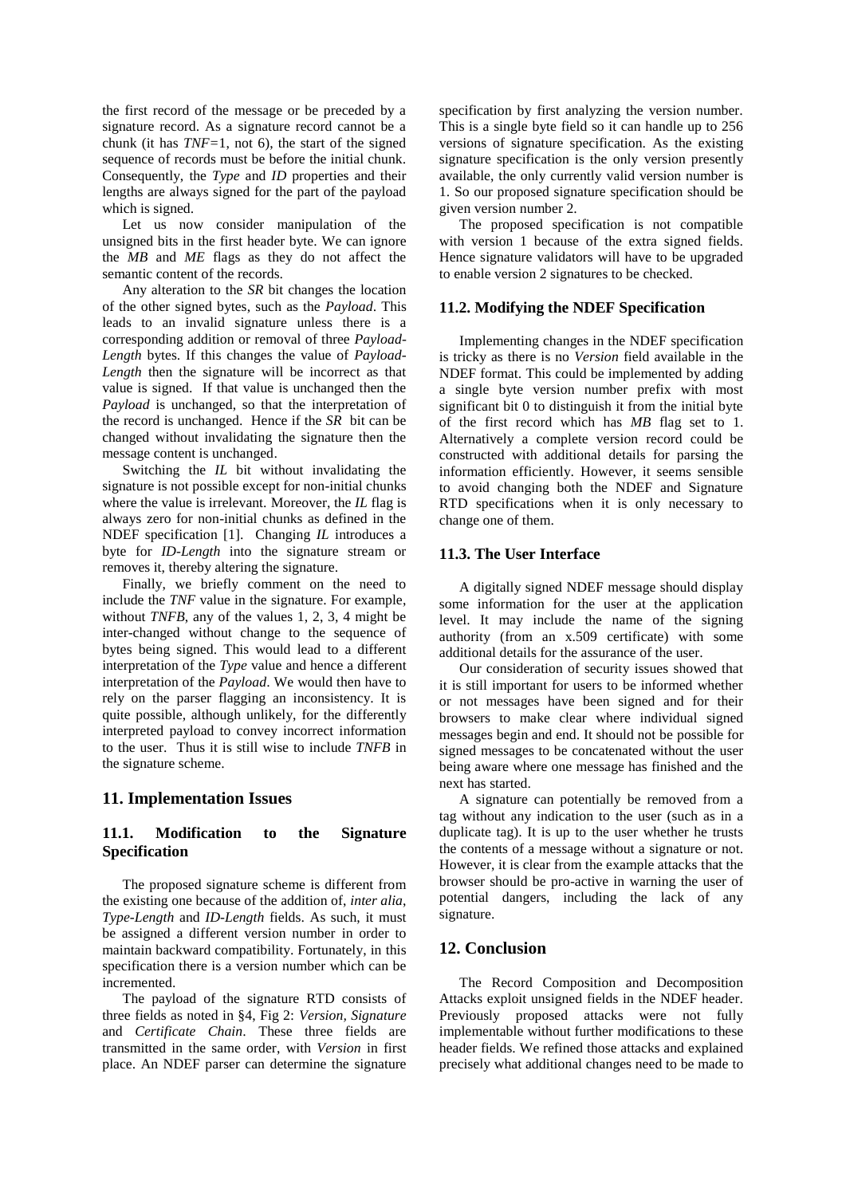the first record of the message or be preceded by a signature record. As a signature record cannot be a chunk (it has *TNF=*1, not 6), the start of the signed sequence of records must be before the initial chunk. Consequently, the *Type* and *ID* properties and their lengths are always signed for the part of the payload which is signed.

Let us now consider manipulation of the unsigned bits in the first header byte. We can ignore the *MB* and *ME* flags as they do not affect the semantic content of the records.

Any alteration to the *SR* bit changes the location of the other signed bytes, such as the *Payload*. This leads to an invalid signature unless there is a corresponding addition or removal of three *Payload-Length* bytes. If this changes the value of *Payload-Length* then the signature will be incorrect as that value is signed. If that value is unchanged then the *Payload* is unchanged, so that the interpretation of the record is unchanged. Hence if the *SR* bit can be changed without invalidating the signature then the message content is unchanged.

Switching the *IL* bit without invalidating the signature is not possible except for non-initial chunks where the value is irrelevant. Moreover, the *IL* flag is always zero for non-initial chunks as defined in the NDEF specification [1]. Changing *IL* introduces a byte for *ID-Length* into the signature stream or removes it, thereby altering the signature.

Finally, we briefly comment on the need to include the *TNF* value in the signature. For example, without *TNFB*, any of the values 1, 2, 3, 4 might be inter-changed without change to the sequence of bytes being signed. This would lead to a different interpretation of the *Type* value and hence a different interpretation of the *Payload*. We would then have to rely on the parser flagging an inconsistency. It is quite possible, although unlikely, for the differently interpreted payload to convey incorrect information to the user. Thus it is still wise to include *TNFB* in the signature scheme.

# **11. Implementation Issues**

# **11.1. Modification to the Signature Specification**

The proposed signature scheme is different from the existing one because of the addition of, *inter alia*, *Type-Length* and *ID-Length* fields. As such, it must be assigned a different version number in order to maintain backward compatibility. Fortunately, in this specification there is a version number which can be incremented.

The payload of the signature RTD consists of three fields as noted in §4, Fig 2: *Version, Signature* and *Certificate Chain*. These three fields are transmitted in the same order, with *Version* in first place. An NDEF parser can determine the signature

specification by first analyzing the version number. This is a single byte field so it can handle up to 256 versions of signature specification. As the existing signature specification is the only version presently available, the only currently valid version number is 1. So our proposed signature specification should be given version number 2.

The proposed specification is not compatible with version 1 because of the extra signed fields. Hence signature validators will have to be upgraded to enable version 2 signatures to be checked.

#### **11.2. Modifying the NDEF Specification**

Implementing changes in the NDEF specification is tricky as there is no *Version* field available in the NDEF format. This could be implemented by adding a single byte version number prefix with most significant bit 0 to distinguish it from the initial byte of the first record which has *MB* flag set to 1. Alternatively a complete version record could be constructed with additional details for parsing the information efficiently. However, it seems sensible to avoid changing both the NDEF and Signature RTD specifications when it is only necessary to change one of them.

### **11.3. The User Interface**

A digitally signed NDEF message should display some information for the user at the application level. It may include the name of the signing authority (from an x.509 certificate) with some additional details for the assurance of the user.

Our consideration of security issues showed that it is still important for users to be informed whether or not messages have been signed and for their browsers to make clear where individual signed messages begin and end. It should not be possible for signed messages to be concatenated without the user being aware where one message has finished and the next has started.

A signature can potentially be removed from a tag without any indication to the user (such as in a duplicate tag). It is up to the user whether he trusts the contents of a message without a signature or not. However, it is clear from the example attacks that the browser should be pro-active in warning the user of potential dangers, including the lack of any signature.

#### **12. Conclusion**

The Record Composition and Decomposition Attacks exploit unsigned fields in the NDEF header. Previously proposed attacks were not fully implementable without further modifications to these header fields. We refined those attacks and explained precisely what additional changes need to be made to